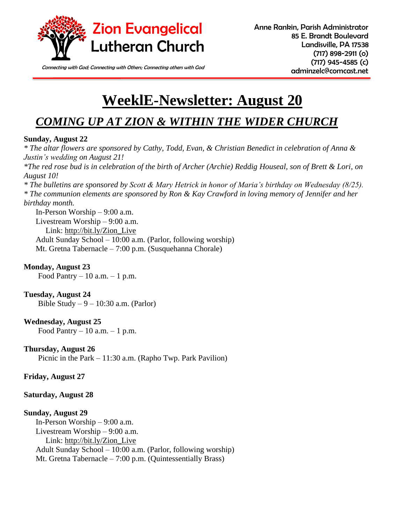

Connecting with God; Connecting with Others; Connecting others with God **connecting of connecting of connecting** 

# **WeeklE-Newsletter: August 20**

# *COMING UP AT ZION & WITHIN THE WIDER CHURCH*

#### **Sunday, August 22**

*\* The altar flowers are sponsored by Cathy, Todd, Evan, & Christian Benedict in celebration of Anna & Justin's wedding on August 21! \*The red rose bud is in celebration of the birth of Archer (Archie) Reddig Houseal, son of Brett & Lori, on August 10! \* The bulletins are sponsored by Scott & Mary Hetrick in honor of Maria's birthday on Wednesday (8/25).*

*\* The communion elements are sponsored by Ron & Kay Crawford in loving memory of Jennifer and her birthday month.* 

In-Person Worship – 9:00 a.m. Livestream Worship – 9:00 a.m. Link: [http://bit.ly/Zion\\_Live](http://bit.ly/Zion_Live) Adult Sunday School – 10:00 a.m. (Parlor, following worship) Mt. Gretna Tabernacle – 7:00 p.m. (Susquehanna Chorale)

# **Monday, August 23**

Food Pantry  $-10$  a.m.  $-1$  p.m.

### **Tuesday, August 24**

Bible Study  $-9 - 10:30$  a.m. (Parlor)

### **Wednesday, August 25**

Food Pantry  $-10$  a.m.  $-1$  p.m.

### **Thursday, August 26**

Picnic in the Park – 11:30 a.m. (Rapho Twp. Park Pavilion)

### **Friday, August 27**

### **Saturday, August 28**

### **Sunday, August 29**

In-Person Worship – 9:00 a.m. Livestream Worship – 9:00 a.m. Link: [http://bit.ly/Zion\\_Live](http://bit.ly/Zion_Live) Adult Sunday School – 10:00 a.m. (Parlor, following worship) Mt. Gretna Tabernacle – 7:00 p.m. (Quintessentially Brass)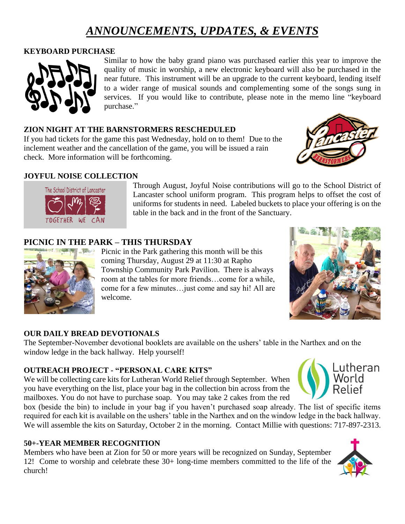# *ANNOUNCEMENTS, UPDATES, & EVENTS*

## **KEYBOARD PURCHASE**



Similar to how the baby grand piano was purchased earlier this year to improve the quality of music in worship, a new electronic keyboard will also be purchased in the near future. This instrument will be an upgrade to the current keyboard, lending itself to a wider range of musical sounds and complementing some of the songs sung in services. If you would like to contribute, please note in the memo line "keyboard" purchase."

### **ZION NIGHT AT THE BARNSTORMERS RESCHEDULED**

If you had tickets for the game this past Wednesday, hold on to them! Due to the inclement weather and the cancellation of the game, you will be issued a rain check. More information will be forthcoming.



## **JOYFUL NOISE COLLECTION**



Through August, Joyful Noise contributions will go to the School District of Lancaster school uniform program. This program helps to offset the cost of uniforms for students in need. Labeled buckets to place your offering is on the table in the back and in the front of the Sanctuary.

# **PICNIC IN THE PARK – THIS THURSDAY**



Picnic in the Park gathering this month will be this coming Thursday, August 29 at 11:30 at Rapho Township Community Park Pavilion. There is always room at the tables for more friends…come for a while, come for a few minutes…just come and say hi! All are welcome.



### **OUR DAILY BREAD DEVOTIONALS**

The September-November devotional booklets are available on the ushers' table in the Narthex and on the window ledge in the back hallway. Help yourself!

### **OUTREACH PROJECT - "PERSONAL CARE KITS"**

We will be collecting care kits for Lutheran World Relief through September. When you have everything on the list, place your bag in the collection bin across from the mailboxes. You do not have to purchase soap. You may take 2 cakes from the red

box (beside the bin) to include in your bag if you haven't purchased soap already. The list of specific items required for each kit is available on the ushers' table in the Narthex and on the window ledge in the back hallway. We will assemble the kits on Saturday, October 2 in the morning. Contact Millie with questions: 717-897-2313.

### **50+-YEAR MEMBER RECOGNITION**

Members who have been at Zion for 50 or more years will be recognized on Sunday, September 12! Come to worship and celebrate these 30+ long-time members committed to the life of the church!



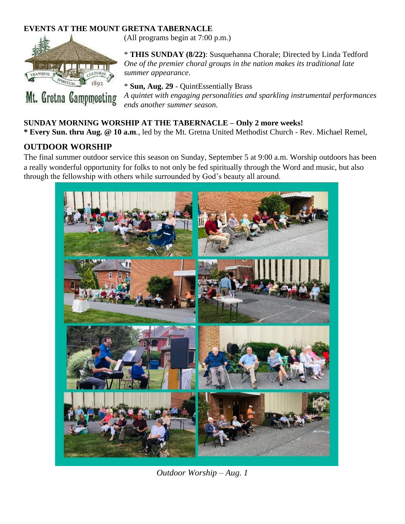# **EVENTS AT THE MOUNT GRETNA TABERNACLE**



Mt. Gretna Campmeeting

(All programs begin at 7:00 p.m.)

\* **THIS SUNDAY (8/22)**: Susquehanna Chorale; Directed by Linda Tedford *One of the premier choral groups in the nation makes its traditional late summer appearance.*

\* **Sun, Aug. 29** - QuintEssentially Brass *A quintet with engaging personalities and sparkling instrumental performances ends another summer season.*

## **SUNDAY MORNING WORSHIP AT THE TABERNACLE – Only 2 more weeks!**

**\* Every Sun. thru Aug. @ 10 a.m***.,* led by the Mt. Gretna United Methodist Church - Rev. Michael Remel,

# **OUTDOOR WORSHIP**

The final summer outdoor service this season on Sunday, September 5 at 9:00 a.m. Worship outdoors has been a really wonderful opportunity for folks to not only be fed spiritually through the Word and music, but also through the fellowship with others while surrounded by God's beauty all around.



*Outdoor Worship – Aug. 1*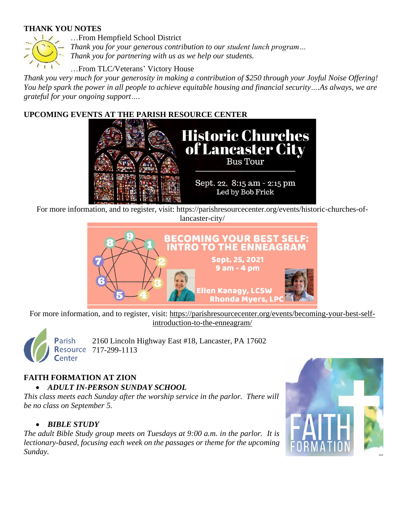## **THANK YOU NOTES**



…From Hempfield School District

*Thank you for your generous contribution to our student lunch program… Thank you for partnering with us as we help our students.*

# …From TLC/Veterans' Victory House

*Thank you very much for your generosity in making a contribution of \$250 through your Joyful Noise Offering! You help spark the power in all people to achieve equitable housing and financial security….As always, we are grateful for your ongoing support….*

# **UPCOMING EVENTS AT THE PARISH RESOURCE CENTER**



For more information, and to register, visit: https://parishresourcecenter.org/events/historic-churches-oflancaster-city/



For more information, and to register, visit: [https://parishresourcecenter.org/events/becoming-your-best-self](https://parishresourcecenter.org/events/becoming-your-best-self-introduction-to-the-enneagram/)[introduction-to-the-enneagram/](https://parishresourcecenter.org/events/becoming-your-best-self-introduction-to-the-enneagram/)



2160 Lincoln Highway East #18, Lancaster, PA 17602 **Resource 717-299-1113** 

# **FAITH FORMATION AT ZION**

# • *ADULT IN-PERSON SUNDAY SCHOOL*

*This class meets each Sunday after the worship service in the parlor. There will be no class on September 5.*

# • *BIBLE STUDY*

*The adult Bible Study group meets on Tuesdays at 9:00 a.m. in the parlor. It is lectionary-based, focusing each week on the passages or theme for the upcoming Sunday.* 

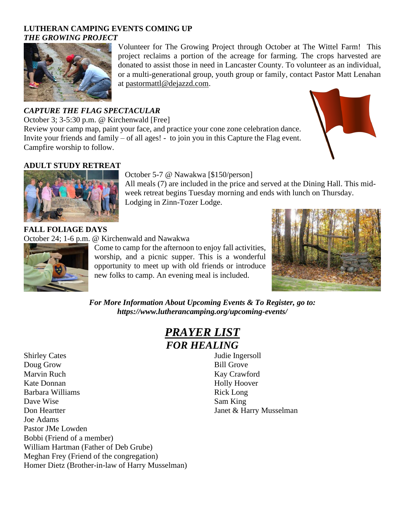### **LUTHERAN CAMPING EVENTS COMING UP** *THE GROWING PROJECT*



# *CAPTURE THE FLAG SPECTACULAR*

October 3; 3-5:30 p.m. @ Kirchenwald [Free] Review your camp map, paint your face, and practice your cone zone celebration dance. Invite your friends and family – of all ages! - to join you in this Capture the Flag event. Campfire worship to follow.

at [pastormattl@dejazzd.com.](mailto:pastormattl@dejazzd.com)



## **ADULT STUDY RETREAT**

# October 5-7 @ Nawakwa [\$150/person]

All meals (7) are included in the price and served at the Dining Hall. This midweek retreat begins Tuesday morning and ends with lunch on Thursday. Lodging in Zinn-Tozer Lodge.

Volunteer for The Growing Project through October at The Wittel Farm! This project reclaims a portion of the acreage for farming. The crops harvested are donated to assist those in need in Lancaster County. To volunteer as an individual, or a multi-generational group, youth group or family, contact Pastor Matt Lenahan

# **FALL FOLIAGE DAYS**

#### October 24; 1-6 p.m. @ Kirchenwald and Nawakwa

Come to camp for the afternoon to enjoy fall activities, worship, and a picnic supper. This is a wonderful opportunity to meet up with old friends or introduce new folks to camp. An evening meal is included.



*For More Information About Upcoming Events & To Register, go to: https://www.lutherancamping.org/upcoming-events/*

# *PRAYER LIST FOR HEALING*

- Shirley Cates Doug Grow Marvin Ruch Kate Donnan Barbara Williams Dave Wise Don Heartter Joe Adams Pastor JMe Lowden Bobbi (Friend of a member) William Hartman (Father of Deb Grube) Meghan Frey (Friend of the congregation) Homer Dietz (Brother-in-law of Harry Musselman)
- Judie Ingersoll Bill Grove Kay Crawford Holly Hoover Rick Long Sam King Janet & Harry Musselman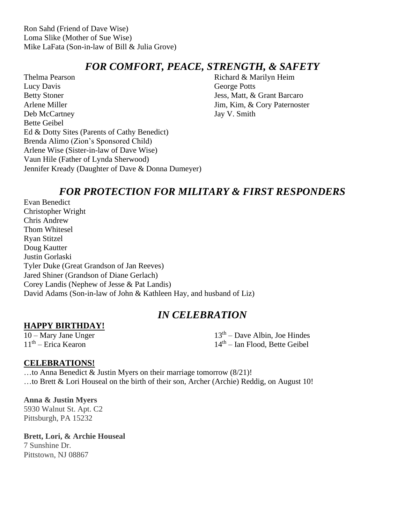Ron Sahd (Friend of Dave Wise) Loma Slike (Mother of Sue Wise) Mike LaFata (Son-in-law of Bill & Julia Grove)

# *FOR COMFORT, PEACE, STRENGTH, & SAFETY*

Thelma Pearson Lucy Davis Betty Stoner Arlene Miller Deb McCartney Bette Geibel Ed & Dotty Sites (Parents of Cathy Benedict) Brenda Alimo (Zion's Sponsored Child) Arlene Wise (Sister-in-law of Dave Wise) Vaun Hile (Father of Lynda Sherwood) Jennifer Kready (Daughter of Dave & Donna Dumeyer)

Richard & Marilyn Heim George Potts Jess, Matt, & Grant Barcaro Jim, Kim, & Cory Paternoster Jay V. Smith

# *FOR PROTECTION FOR MILITARY & FIRST RESPONDERS*

Evan Benedict Christopher Wright Chris Andrew Thom Whitesel Ryan Stitzel Doug Kautter Justin Gorlaski Tyler Duke (Great Grandson of Jan Reeves) Jared Shiner (Grandson of Diane Gerlach) Corey Landis (Nephew of Jesse & Pat Landis) David Adams (Son-in-law of John & Kathleen Hay, and husband of Liz)

# *IN CELEBRATION*

### **HAPPY BIRTHDAY!**

10 – Mary Jane Unger 11<sup>th</sup> – Erica Kearon

13th – Dave Albin, Joe Hindes 14<sup>th</sup> – Ian Flood, Bette Geibel

# **CELEBRATIONS!**

…to Anna Benedict & Justin Myers on their marriage tomorrow (8/21)! …to Brett & Lori Houseal on the birth of their son, Archer (Archie) Reddig, on August 10!

### **Anna & Justin Myers**

5930 Walnut St. Apt. C2 Pittsburgh, PA 15232

**Brett, Lori, & Archie Houseal** 7 Sunshine Dr. Pittstown, NJ 08867